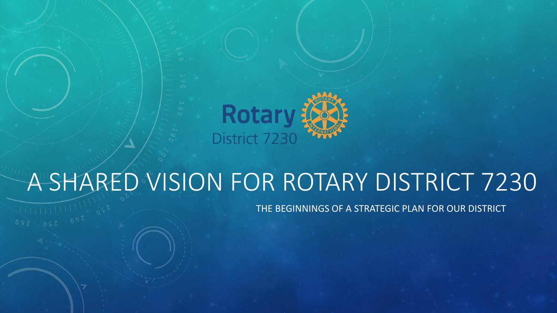

# A SHARED VISION FOR ROTARY DISTRICT 7230

THE BEGINNINGS OF A STRATEGIC PLAN FOR OUR DISTRICT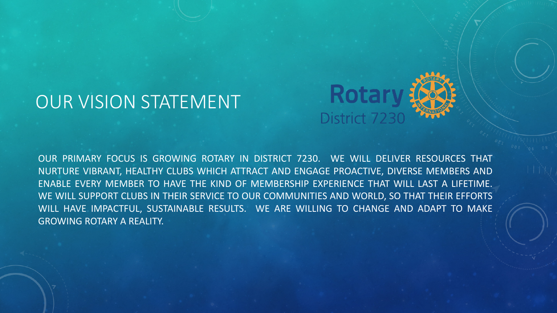#### OUR VISION STATEMENT



OUR PRIMARY FOCUS IS GROWING ROTARY IN DISTRICT 7230. WE WILL DELIVER RESOURCES THAT NURTURE VIBRANT, HEALTHY CLUBS WHICH ATTRACT AND ENGAGE PROACTIVE, DIVERSE MEMBERS AND ENABLE EVERY MEMBER TO HAVE THE KIND OF MEMBERSHIP EXPERIENCE THAT WILL LAST A LIFETIME. WE WILL SUPPORT CLUBS IN THEIR SERVICE TO OUR COMMUNITIES AND WORLD, SO THAT THEIR EFFORTS WILL HAVE IMPACTFUL, SUSTAINABLE RESULTS. WE ARE WILLING TO CHANGE AND ADAPT TO MAKE GROWING ROTARY A REALITY.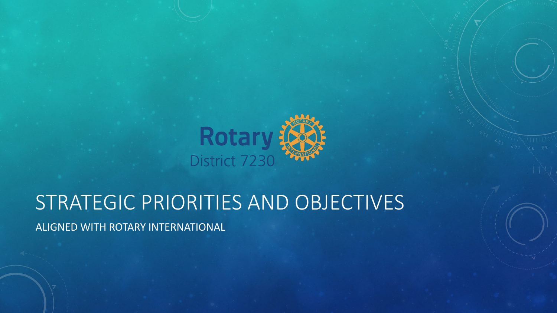

### STRATEGIC PRIORITIES AND OBJECTIVES

ALIGNED WITH ROTARY INTERNATIONAL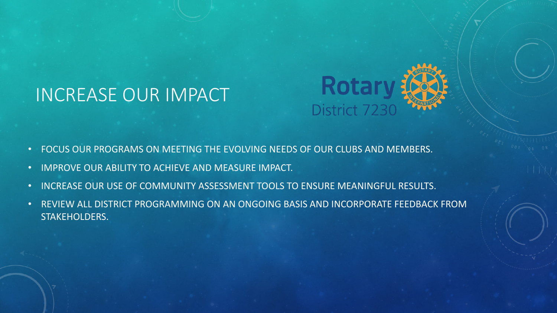#### INCREASE OUR IMPACT



- FOCUS OUR PROGRAMS ON MEETING THE EVOLVING NEEDS OF OUR CLUBS AND MEMBERS.
- IMPROVE OUR ABILITY TO ACHIEVE AND MEASURE IMPACT.
- INCREASE OUR USE OF COMMUNITY ASSESSMENT TOOLS TO ENSURE MEANINGFUL RESULTS.
- REVIEW ALL DISTRICT PROGRAMMING ON AN ONGOING BASIS AND INCORPORATE FEEDBACK FROM STAKEHOLDERS.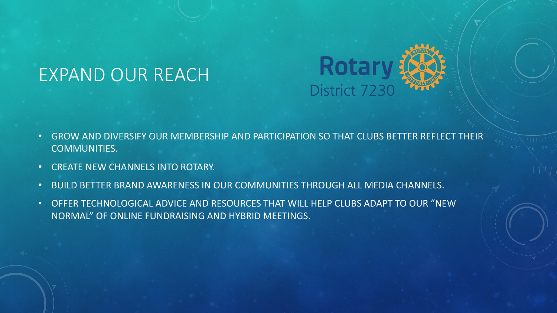#### EXPAND OUR REACH



- GROW AND DIVERSIFY OUR MEMBERSHIP AND PARTICIPATION SO THAT CLUBS BETTER REFLECT THEIR COMMUNITIES.
- CREATE NEW CHANNELS INTO ROTARY.
- BUILD BETTER BRAND AWARENESS IN OUR COMMUNITIES THROUGH ALL MEDIA CHANNELS.
- OFFER TECHNOLOGICAL ADVICE AND RESOURCES THAT WILL HELP CLUBS ADAPT TO OUR "NEW NORMAL" OF ONLINE FUNDRAISING AND HYBRID MEETINGS.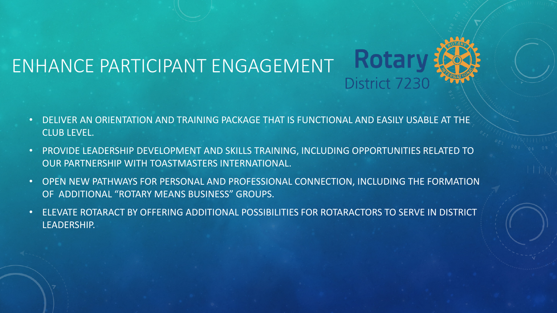

- DELIVER AN ORIENTATION AND TRAINING PACKAGE THAT IS FUNCTIONAL AND EASILY USABLE AT THE CLUB LEVEL.
- PROVIDE LEADERSHIP DEVELOPMENT AND SKILLS TRAINING, INCLUDING OPPORTUNITIES RELATED TO OUR PARTNERSHIP WITH TOASTMASTERS INTERNATIONAL.
- OPEN NEW PATHWAYS FOR PERSONAL AND PROFESSIONAL CONNECTION, INCLUDING THE FORMATION OF ADDITIONAL "ROTARY MEANS BUSINESS" GROUPS.
- ELEVATE ROTARACT BY OFFERING ADDITIONAL POSSIBILITIES FOR ROTARACTORS TO SERVE IN DISTRICT LEADERSHIP.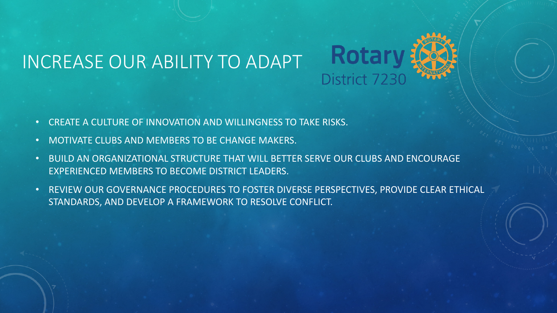### INCREASE OUR ABILITY TO ADAPT



- CREATE A CULTURE OF INNOVATION AND WILLINGNESS TO TAKE RISKS.
- MOTIVATE CLUBS AND MEMBERS TO BE CHANGE MAKERS.
- BUILD AN ORGANIZATIONAL STRUCTURE THAT WILL BETTER SERVE OUR CLUBS AND ENCOURAGE EXPERIENCED MEMBERS TO BECOME DISTRICT LEADERS.
- REVIEW OUR GOVERNANCE PROCEDURES TO FOSTER DIVERSE PERSPECTIVES, PROVIDE CLEAR ETHICAL STANDARDS, AND DEVELOP A FRAMEWORK TO RESOLVE CONFLICT.